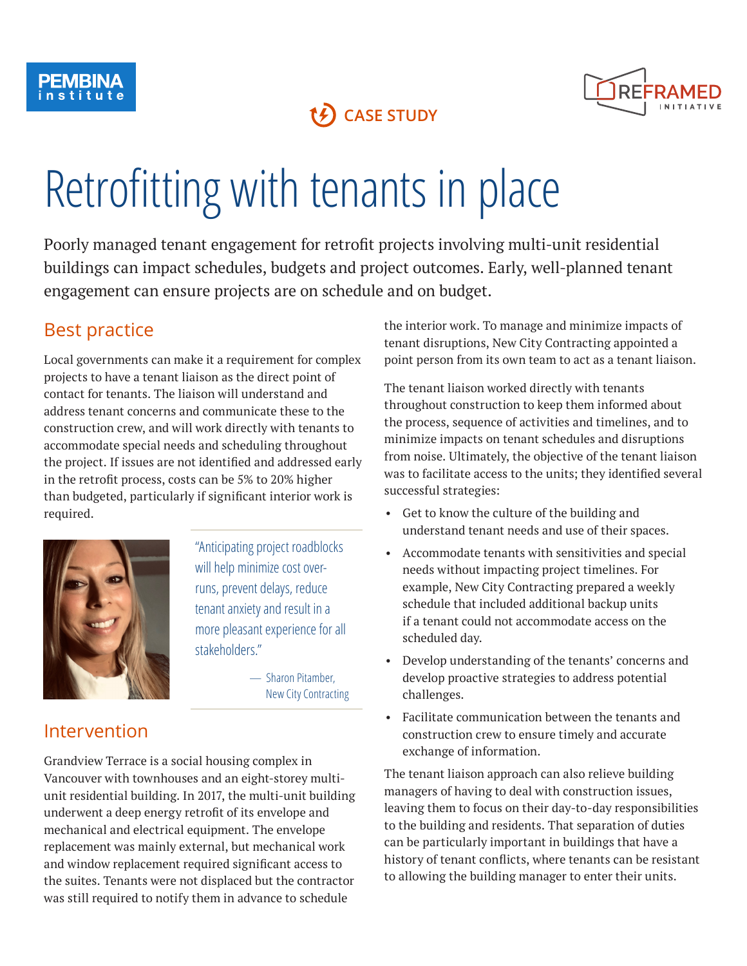

## **CASE STUDY**

# Retrofitting with tenants in place

Poorly managed tenant engagement for retrofit projects involving multi-unit residential buildings can impact schedules, budgets and project outcomes. Early, well-planned tenant engagement can ensure projects are on schedule and on budget.

#### Best practice

Local governments can make it a requirement for complex projects to have a tenant liaison as the direct point of contact for tenants. The liaison will understand and address tenant concerns and communicate these to the construction crew, and will work directly with tenants to accommodate special needs and scheduling throughout the project. If issues are not identified and addressed early in the retrofit process, costs can be 5% to 20% higher than budgeted, particularly if significant interior work is required.



"Anticipating project roadblocks will help minimize cost overruns, prevent delays, reduce tenant anxiety and result in a more pleasant experience for all stakeholders."

> — Sharon Pitamber, New City Contracting

#### Intervention

Grandview Terrace is a social housing complex in Vancouver with townhouses and an eight-storey multiunit residential building. In 2017, the multi-unit building underwent a deep energy retrofit of its envelope and mechanical and electrical equipment. The envelope replacement was mainly external, but mechanical work and window replacement required significant access to the suites. Tenants were not displaced but the contractor was still required to notify them in advance to schedule

the interior work. To manage and minimize impacts of tenant disruptions, New City Contracting appointed a point person from its own team to act as a tenant liaison.

The tenant liaison worked directly with tenants throughout construction to keep them informed about the process, sequence of activities and timelines, and to minimize impacts on tenant schedules and disruptions from noise. Ultimately, the objective of the tenant liaison was to facilitate access to the units; they identified several successful strategies:

- Get to know the culture of the building and understand tenant needs and use of their spaces.
- Accommodate tenants with sensitivities and special needs without impacting project timelines. For example, New City Contracting prepared a weekly schedule that included additional backup units if a tenant could not accommodate access on the scheduled day.
- Develop understanding of the tenants' concerns and develop proactive strategies to address potential challenges.
- Facilitate communication between the tenants and construction crew to ensure timely and accurate exchange of information.

The tenant liaison approach can also relieve building managers of having to deal with construction issues, leaving them to focus on their day-to-day responsibilities to the building and residents. That separation of duties can be particularly important in buildings that have a history of tenant conflicts, where tenants can be resistant to allowing the building manager to enter their units.